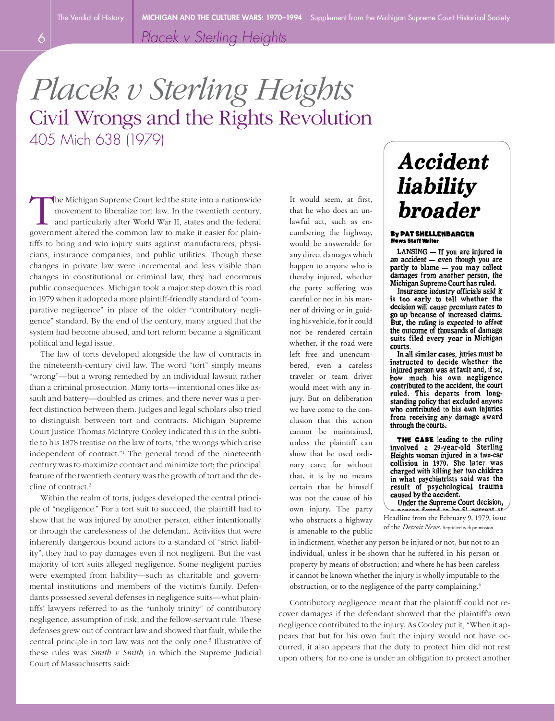6

*Placek v Sterling Heights*

# *Placek v Sterling Heights* Civil Wrongs and the Rights Revolution 405 Mich 638 (1979)

The Michigan Supreme Court led the state into a nationwide<br>movement to liberalize tort law. In the twentieth century,<br>and particularly after World War II, states and the federal<br>government altered the common law to make it movement to liberalize tort law. In the twentieth century, and particularly after World War II, states and the federal government altered the common law to make it easier for plaintiffs to bring and win injury suits against manufacturers, physicians, insurance companies, and public utilities. Though these changes in private law were incremental and less visible than changes in constitutional or criminal law, they had enormous public consequences. Michigan took a major step down this road in 1979 when it adopted a more plaintiff-friendly standard of "comparative negligence" in place of the older "contributory negligence" standard. By the end of the century, many argued that the system had become abused, and tort reform became a significant political and legal issue.

The law of torts developed alongside the law of contracts in the nineteenth-century civil law. The word "tort" simply means "wrong"—but a wrong remedied by an individual lawsuit rather than a criminal prosecution. Many torts—intentional ones like assault and battery—doubled as crimes, and there never was a perfect distinction between them. Judges and legal scholars also tried to distinguish between tort and contracts. Michigan Supreme Court Justice Thomas McIntyre Cooley indicated this in the subtitle to his 1878 treatise on the law of torts, "the wrongs which arise independent of contract."1 The general trend of the nineteenth century was to maximize contract and minimize tort; the principal feature of the twentieth century was the growth of tort and the decline of contract.<sup>2</sup>

Within the realm of torts, judges developed the central principle of "negligence." For a tort suit to succeed, the plaintiff had to show that he was injured by another person, either intentionally or through the carelessness of the defendant. Activities that were inherently dangerous bound actors to a standard of "strict liability"; they had to pay damages even if not negligent. But the vast majority of tort suits alleged negligence. Some negligent parties were exempted from liability—such as charitable and governmental institutions and members of the victim's family. Defendants possessed several defenses in negligence suits—what plaintiffs' lawyers referred to as the "unholy trinity" of contributory negligence, assumption of risk, and the fellow-servant rule. These defenses grew out of contract law and showed that fault, while the central principle in tort law was not the only one.<sup>3</sup> Illustrative of these rules was *Smith v Smith,* in which the Supreme Judicial Court of Massachusetts said:

It would seem, at first, that he who does an unlawful act, such as encumbering the highway, would be answerable for any direct damages which happen to anyone who is thereby injured, whether the party suffering was careful or not in his manner of driving or in guiding his vehicle, for it could not be rendered certain whether, if the road were left free and unencumbered, even a careless traveler or team driver would meet with any injury. But on deliberation we have come to the conclusion that this action cannot be maintained, unless the plaintiff can show that he used ordinary care; for without that, it is by no means certain that he himself was not the cause of his own injury. The party who obstructs a highway is amenable to the public

## **Accident liability broader**

#### By PAT SHELLENBARGER **News Staff Writer**

LANSING - If you are injured in an accident - even though you are partly to blame - you may collect damages from another person, the Michigan Supreme Court has ruled.

Insurance industry officials said it is too early to tell whether the decision will cause premium rates to go up because of increased claims. But, the ruling is expected to affect the outcome of thousands of damage suits filed every year in Michigan courts.

In all similar cases, juries must be instructed to decide whether the injured person was at fault and, if so, how much his own negligence contributed to the accident, the court ruled. This departs from longstanding policy that excluded anyone who contributed to his own injuries from receiving any damage award through the courts.

THE CASE leading to the ruling involved a 29-year-old Sterling Heights woman injured in a two-car collision in 1970. She later was charged with killing her two children in what psychiatrists said was the result of psychological trauma caused by the accident.

Under the Supreme Court decision, to he 51 norman

Headline from the February 9, 1979, issue of the *Detroit News.* Reprinted with permission.

in indictment, whether any person be injured or not, but not to an individual, unless it be shown that he suffered in his person or property by means of obstruction; and where he has been careless it cannot be known whether the injury is wholly imputable to the obstruction, or to the negligence of the party complaining.4

Contributory negligence meant that the plaintiff could not recover damages if the defendant showed that the plaintiff's own negligence contributed to the injury. As Cooley put it, "When it appears that but for his own fault the injury would not have occurred, it also appears that the duty to protect him did not rest upon others; for no one is under an obligation to protect another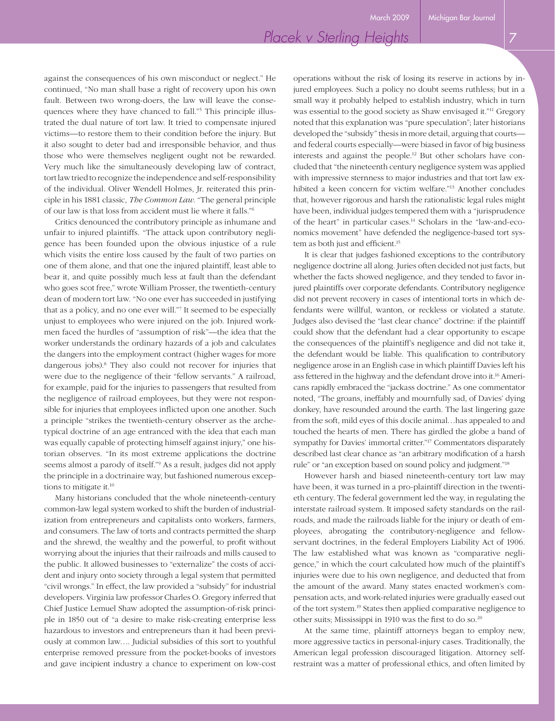### *Placek v Sterling Heights*

against the consequences of his own misconduct or neglect." He continued, "No man shall base a right of recovery upon his own fault. Between two wrong-doers, the law will leave the consequences where they have chanced to fall."5 This principle illustrated the dual nature of tort law. It tried to compensate injured victims—to restore them to their condition before the injury. But it also sought to deter bad and irresponsible behavior, and thus those who were themselves negligent ought not be rewarded. Very much like the simultaneously developing law of contract, tort law tried to recognize the independence and self-responsibility of the individual. Oliver Wendell Holmes, Jr. reiterated this principle in his 1881 classic, *The Common Law.* "The general principle of our law is that loss from accident must lie where it falls."6

Critics denounced the contributory principle as inhumane and unfair to injured plaintiffs. "The attack upon contributory negligence has been founded upon the obvious injustice of a rule which visits the entire loss caused by the fault of two parties on one of them alone, and that one the injured plaintiff, least able to bear it, and quite possibly much less at fault than the defendant who goes scot free," wrote William Prosser, the twentieth-century dean of modern tort law. "No one ever has succeeded in justifying that as a policy, and no one ever will."7 It seemed to be especially unjust to employees who were injured on the job. Injured workmen faced the hurdles of "assumption of risk"—the idea that the worker understands the ordinary hazards of a job and calculates the dangers into the employment contract (higher wages for more dangerous jobs).<sup>8</sup> They also could not recover for injuries that were due to the negligence of their "fellow servants." A railroad, for example, paid for the injuries to passengers that resulted from the negligence of railroad employees, but they were not responsible for injuries that employees inflicted upon one another. Such a principle "strikes the twentieth-century observer as the archetypical doctrine of an age entranced with the idea that each man was equally capable of protecting himself against injury," one historian observes. "In its most extreme applications the doctrine seems almost a parody of itself."9 As a result, judges did not apply the principle in a doctrinaire way, but fashioned numerous exceptions to mitigate it.10

Many historians concluded that the whole nineteenth-century common-law legal system worked to shift the burden of industrialization from entrepreneurs and capitalists onto workers, farmers, and consumers. The law of torts and contracts permitted the sharp and the shrewd, the wealthy and the powerful, to profit without worrying about the injuries that their railroads and mills caused to the public. It allowed businesses to "externalize" the costs of accident and injury onto society through a legal system that permitted "civil wrongs." In effect, the law provided a "subsidy" for industrial developers. Virginia law professor Charles O. Gregory inferred that Chief Justice Lemuel Shaw adopted the assumption-of-risk principle in 1850 out of "a desire to make risk-creating enterprise less hazardous to investors and entrepreneurs than it had been previously at common law…. Judicial subsidies of this sort to youthful enterprise removed pressure from the pocket-books of investors and gave incipient industry a chance to experiment on low-cost

operations without the risk of losing its reserve in actions by injured employees. Such a policy no doubt seems ruthless; but in a small way it probably helped to establish industry, which in turn was essential to the good society as Shaw envisaged it."11 Gregory noted that this explanation was "pure speculation"; later historians developed the "subsidy" thesis in more detail, arguing that courts and federal courts especially—were biased in favor of big business interests and against the people.12 But other scholars have concluded that "the nineteenth century negligence system was applied with impressive sternness to major industries and that tort law exhibited a keen concern for victim welfare."13 Another concludes that, however rigorous and harsh the rationalistic legal rules might have been, individual judges tempered them with a "jurisprudence of the heart" in particular cases.<sup>14</sup> Scholars in the "law-and-economics movement" have defended the negligence-based tort system as both just and efficient.15

It is clear that judges fashioned exceptions to the contributory negligence doctrine all along. Juries often decided not just facts, but whether the facts showed negligence, and they tended to favor injured plaintiffs over corporate defendants. Contributory negligence did not prevent recovery in cases of intentional torts in which defendants were willful, wanton, or reckless or violated a statute. Judges also devised the "last clear chance" doctrine: if the plaintiff could show that the defendant had a clear opportunity to escape the consequences of the plaintiff's negligence and did not take it, the defendant would be liable. This qualification to contributory negligence arose in an English case in which plaintiff Davies left his ass fettered in the highway and the defendant drove into it.16 Americans rapidly embraced the "jackass doctrine." As one commentator noted, "The groans, ineffably and mournfully sad, of Davies' dying donkey, have resounded around the earth. The last lingering gaze from the soft, mild eyes of this docile animal…has appealed to and touched the hearts of men. There has girdled the globe a band of sympathy for Davies' immortal critter."17 Commentators disparately described last clear chance as "an arbitrary modification of a harsh rule" or "an exception based on sound policy and judgment."18

However harsh and biased nineteenth-century tort law may have been, it was turned in a pro-plaintiff direction in the twentieth century. The federal government led the way, in regulating the interstate railroad system. It imposed safety standards on the railroads, and made the railroads liable for the injury or death of employees, abrogating the contributory-negligence and fellowservant doctrines, in the federal Employers Liability Act of 1906. The law established what was known as "comparative negligence," in which the court calculated how much of the plaintiff's injuries were due to his own negligence, and deducted that from the amount of the award. Many states enacted workmen's compensation acts, and work-related injuries were gradually eased out of the tort system.19 States then applied comparative negligence to other suits; Mississippi in 1910 was the first to do so.20

At the same time, plaintiff attorneys began to employ new, more aggressive tactics in personal-injury cases. Traditionally, the American legal profession discouraged litigation. Attorney selfrestraint was a matter of professional ethics, and often limited by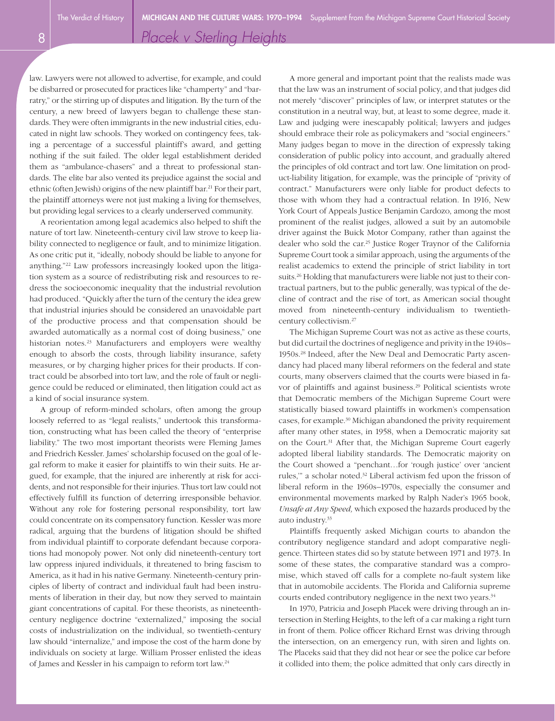#### *Placek v Sterling Heights*

law. Lawyers were not allowed to advertise, for example, and could be disbarred or prosecuted for practices like "champerty" and "barratry," or the stirring up of disputes and litigation. By the turn of the century, a new breed of lawyers began to challenge these standards. They were often immigrants in the new industrial cities, educated in night law schools. They worked on contingency fees, taking a percentage of a successful plaintiff's award, and getting nothing if the suit failed. The older legal establishment derided them as "ambulance-chasers" and a threat to professional standards. The elite bar also vented its prejudice against the social and ethnic (often Jewish) origins of the new plaintiff bar.<sup>21</sup> For their part, the plaintiff attorneys were not just making a living for themselves, but providing legal services to a clearly underserved community.

A reorientation among legal academics also helped to shift the nature of tort law. Nineteenth-century civil law strove to keep liability connected to negligence or fault, and to minimize litigation. As one critic put it, "ideally, nobody should be liable to anyone for anything."22 Law professors increasingly looked upon the litigation system as a source of redistributing risk and resources to redress the socioeconomic inequality that the industrial revolution had produced. "Quickly after the turn of the century the idea grew that industrial injuries should be considered an unavoidable part of the productive process and that compensation should be awarded automatically as a normal cost of doing business," one historian notes.<sup>23</sup> Manufacturers and employers were wealthy enough to absorb the costs, through liability insurance, safety measures, or by charging higher prices for their products. If contract could be absorbed into tort law, and the role of fault or negligence could be reduced or eliminated, then litigation could act as a kind of social insurance system.

A group of reform-minded scholars, often among the group loosely referred to as "legal realists," undertook this transformation, constructing what has been called the theory of "enterprise liability." The two most important theorists were Fleming James and Friedrich Kessler. James' scholarship focused on the goal of legal reform to make it easier for plaintiffs to win their suits. He argued, for example, that the injured are inherently at risk for accidents, and not responsible for their injuries. Thus tort law could not effectively fulfill its function of deterring irresponsible behavior. Without any role for fostering personal responsibility, tort law could concentrate on its compensatory function. Kessler was more radical, arguing that the burdens of litigation should be shifted from individual plaintiff to corporate defendant because corporations had monopoly power. Not only did nineteenth-century tort law oppress injured individuals, it threatened to bring fascism to America, as it had in his native Germany. Nineteenth-century principles of liberty of contract and individual fault had been instruments of liberation in their day, but now they served to maintain giant concentrations of capital. For these theorists, as nineteenthcentury negligence doctrine "externalized," imposing the social costs of industrialization on the individual, so twentieth-century law should "internalize," and impose the cost of the harm done by individuals on society at large. William Prosser enlisted the ideas of James and Kessler in his campaign to reform tort law.24

A more general and important point that the realists made was that the law was an instrument of social policy, and that judges did not merely "discover" principles of law, or interpret statutes or the constitution in a neutral way, but, at least to some degree, made it. Law and judging were inescapably political; lawyers and judges should embrace their role as policymakers and "social engineers." Many judges began to move in the direction of expressly taking consideration of public policy into account, and gradually altered the principles of old contract and tort law. One limitation on product-liability litigation, for example, was the principle of "privity of contract." Manufacturers were only liable for product defects to those with whom they had a contractual relation. In 1916, New York Court of Appeals Justice Benjamin Cardozo, among the most prominent of the realist judges, allowed a suit by an automobile driver against the Buick Motor Company, rather than against the dealer who sold the car.<sup>25</sup> Justice Roger Traynor of the California Supreme Court took a similar approach, using the arguments of the realist academics to extend the principle of strict liability in tort suits.26 Holding that manufacturers were liable not just to their contractual partners, but to the public generally, was typical of the decline of contract and the rise of tort, as American social thought moved from nineteenth-century individualism to twentiethcentury collectivism.27

The Michigan Supreme Court was not as active as these courts, but did curtail the doctrines of negligence and privity in the 1940s– 1950s.<sup>28</sup> Indeed, after the New Deal and Democratic Party ascendancy had placed many liberal reformers on the federal and state courts, many observers claimed that the courts were biased in favor of plaintiffs and against business.<sup>29</sup> Political scientists wrote that Democratic members of the Michigan Supreme Court were statistically biased toward plaintiffs in workmen's compensation cases, for example.30 Michigan abandoned the privity requirement after many other states, in 1958, when a Democratic majority sat on the Court.<sup>31</sup> After that, the Michigan Supreme Court eagerly adopted liberal liability standards. The Democratic majority on the Court showed a "penchant…for 'rough justice' over 'ancient rules,'" a scholar noted.32 Liberal activism fed upon the frisson of liberal reform in the 1960s–1970s, especially the consumer and environmental movements marked by Ralph Nader's 1965 book, *Unsafe at Any Speed,* which exposed the hazards produced by the auto industry.33

Plaintiffs frequently asked Michigan courts to abandon the contributory negligence standard and adopt comparative negligence. Thirteen states did so by statute between 1971 and 1973. In some of these states, the comparative standard was a compromise, which staved off calls for a complete no-fault system like that in automobile accidents. The Florida and California supreme courts ended contributory negligence in the next two years.<sup>34</sup>

In 1970, Patricia and Joseph Placek were driving through an intersection in Sterling Heights, to the left of a car making a right turn in front of them. Police officer Richard Ernst was driving through the intersection, on an emergency run, with siren and lights on. The Placeks said that they did not hear or see the police car before it collided into them; the police admitted that only cars directly in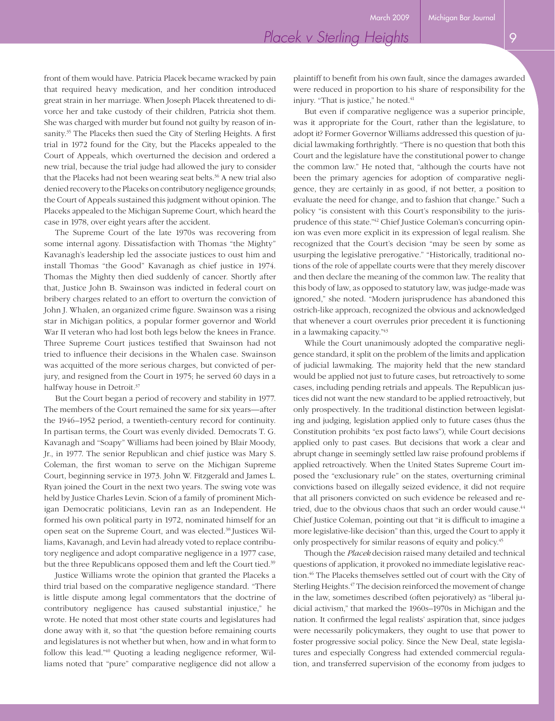front of them would have. Patricia Placek became wracked by pain that required heavy medication, and her condition introduced great strain in her marriage. When Joseph Placek threatened to divorce her and take custody of their children, Patricia shot them. She was charged with murder but found not guilty by reason of insanity.<sup>35</sup> The Placeks then sued the City of Sterling Heights. A first trial in 1972 found for the City, but the Placeks appealed to the Court of Appeals, which overturned the decision and ordered a new trial, because the trial judge had allowed the jury to consider that the Placeks had not been wearing seat belts.<sup>36</sup> A new trial also denied recovery to the Placeks on contributory negligence grounds; the Court of Appeals sustained this judgment without opinion. The Placeks appealed to the Michigan Supreme Court, which heard the case in 1978, over eight years after the accident.

The Supreme Court of the late 1970s was recovering from some internal agony. Dissatisfaction with Thomas "the Mighty" Kavanagh's leadership led the associate justices to oust him and install Thomas "the Good" Kavanagh as chief justice in 1974. Thomas the Mighty then died suddenly of cancer. Shortly after that, Justice John B. Swainson was indicted in federal court on bribery charges related to an effort to overturn the conviction of John J. Whalen, an organized crime figure. Swainson was a rising star in Michigan politics, a popular former governor and World War II veteran who had lost both legs below the knees in France. Three Supreme Court justices testified that Swainson had not tried to influence their decisions in the Whalen case. Swainson was acquitted of the more serious charges, but convicted of perjury, and resigned from the Court in 1975; he served 60 days in a halfway house in Detroit.<sup>37</sup>

But the Court began a period of recovery and stability in 1977. The members of the Court remained the same for six years—after the 1946–1952 period, a twentieth-century record for continuity. In partisan terms, the Court was evenly divided. Democrats T. G. Kavanagh and "Soapy" Williams had been joined by Blair Moody, Jr., in 1977. The senior Republican and chief justice was Mary S. Coleman, the first woman to serve on the Michigan Supreme Court, beginning service in 1973. John W. Fitzgerald and James L. Ryan joined the Court in the next two years. The swing vote was held by Justice Charles Levin. Scion of a family of prominent Michigan Democratic politicians, Levin ran as an Independent. He formed his own political party in 1972, nominated himself for an open seat on the Supreme Court, and was elected.38 Justices Williams, Kavanagh, and Levin had already voted to replace contributory negligence and adopt comparative negligence in a 1977 case, but the three Republicans opposed them and left the Court tied.<sup>39</sup>

Justice Williams wrote the opinion that granted the Placeks a third trial based on the comparative negligence standard. "There is little dispute among legal commentators that the doctrine of contributory negligence has caused substantial injustice," he wrote. He noted that most other state courts and legislatures had done away with it, so that "the question before remaining courts and legislatures is not whether but when, how and in what form to follow this lead."40 Quoting a leading negligence reformer, Williams noted that "pure" comparative negligence did not allow a plaintiff to benefit from his own fault, since the damages awarded were reduced in proportion to his share of responsibility for the injury. "That is justice," he noted.<sup>41</sup>

But even if comparative negligence was a superior principle, was it appropriate for the Court, rather than the legislature, to adopt it? Former Governor Williams addressed this question of judicial lawmaking forthrightly. "There is no question that both this Court and the legislature have the constitutional power to change the common law." He noted that, "although the courts have not been the primary agencies for adoption of comparative negligence, they are certainly in as good, if not better, a position to evaluate the need for change, and to fashion that change." Such a policy "is consistent with this Court's responsibility to the jurisprudence of this state."42 Chief Justice Coleman's concurring opinion was even more explicit in its expression of legal realism. She recognized that the Court's decision "may be seen by some as usurping the legislative prerogative." "Historically, traditional notions of the role of appellate courts were that they merely discover and then declare the meaning of the common law. The reality that this body of law, as opposed to statutory law, was judge-made was ignored," she noted. "Modern jurisprudence has abandoned this ostrich-like approach, recognized the obvious and acknowledged that whenever a court overrules prior precedent it is functioning in a lawmaking capacity."43

While the Court unanimously adopted the comparative negligence standard, it split on the problem of the limits and application of judicial lawmaking. The majority held that the new standard would be applied not just to future cases, but retroactively to some cases, including pending retrials and appeals. The Republican justices did not want the new standard to be applied retroactively, but only prospectively. In the traditional distinction between legislating and judging, legislation applied only to future cases (thus the Constitution prohibits "ex post facto laws"), while Court decisions applied only to past cases. But decisions that work a clear and abrupt change in seemingly settled law raise profound problems if applied retroactively. When the United States Supreme Court imposed the "exclusionary rule" on the states, overturning criminal convictions based on illegally seized evidence, it did not require that all prisoners convicted on such evidence be released and retried, due to the obvious chaos that such an order would cause.<sup>44</sup> Chief Justice Coleman, pointing out that "it is difficult to imagine a more legislative-like decision" than this, urged the Court to apply it only prospectively for similar reasons of equity and policy.45

Though the *Placek* decision raised many detailed and technical questions of application, it provoked no immediate legislative reaction.46 The Placeks themselves settled out of court with the City of Sterling Heights.<sup>47</sup> The decision reinforced the movement of change in the law, sometimes described (often pejoratively) as "liberal judicial activism," that marked the 1960s–1970s in Michigan and the nation. It confirmed the legal realists' aspiration that, since judges were necessarily policymakers, they ought to use that power to foster progressive social policy. Since the New Deal, state legislatures and especially Congress had extended commercial regulation, and transferred supervision of the economy from judges to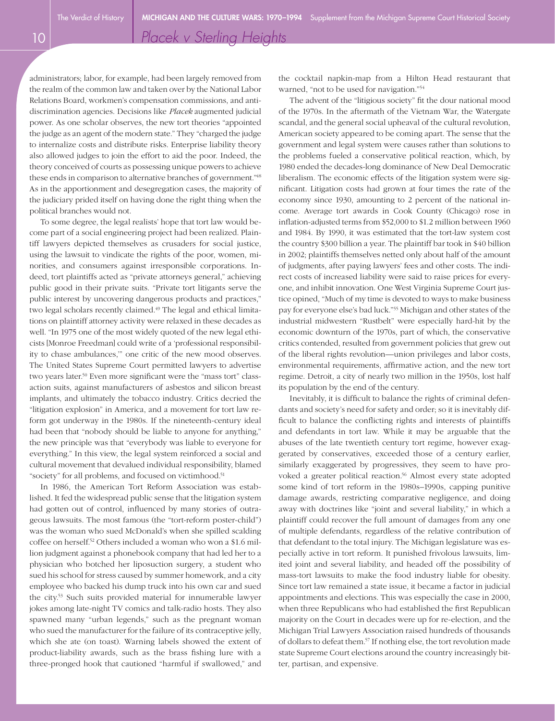#### *Placek v Sterling Heights*

administrators; labor, for example, had been largely removed from the realm of the common law and taken over by the National Labor Relations Board, workmen's compensation commissions, and antidiscrimination agencies. Decisions like *Placek* augmented judicial power. As one scholar observes, the new tort theories "appointed the judge as an agent of the modern state." They "charged the judge to internalize costs and distribute risks. Enterprise liability theory also allowed judges to join the effort to aid the poor. Indeed, the theory conceived of courts as possessing unique powers to achieve these ends in comparison to alternative branches of government."48 As in the apportionment and desegregation cases, the majority of the judiciary prided itself on having done the right thing when the political branches would not.

To some degree, the legal realists' hope that tort law would become part of a social engineering project had been realized. Plaintiff lawyers depicted themselves as crusaders for social justice, using the lawsuit to vindicate the rights of the poor, women, minorities, and consumers against irresponsible corporations. Indeed, tort plaintiffs acted as "private attorneys general," achieving public good in their private suits. "Private tort litigants serve the public interest by uncovering dangerous products and practices," two legal scholars recently claimed.<sup>49</sup> The legal and ethical limitations on plaintiff attorney activity were relaxed in these decades as well. "In 1975 one of the most widely quoted of the new legal ethicists [Monroe Freedman] could write of a 'professional responsibility to chase ambulances,'" one critic of the new mood observes. The United States Supreme Court permitted lawyers to advertise two years later.<sup>50</sup> Even more significant were the "mass tort" classaction suits, against manufacturers of asbestos and silicon breast implants, and ultimately the tobacco industry. Critics decried the "litigation explosion" in America, and a movement for tort law reform got underway in the 1980s. If the nineteenth-century ideal had been that "nobody should be liable to anyone for anything," the new principle was that "everybody was liable to everyone for everything." In this view, the legal system reinforced a social and cultural movement that devalued individual responsibility, blamed "society" for all problems, and focused on victimhood.<sup>51</sup>

In 1986, the American Tort Reform Association was established. It fed the widespread public sense that the litigation system had gotten out of control, influenced by many stories of outrageous lawsuits. The most famous (the "tort-reform poster-child") was the woman who sued McDonald's when she spilled scalding coffee on herself.52 Others included a woman who won a \$1.6 million judgment against a phonebook company that had led her to a physician who botched her liposuction surgery, a student who sued his school for stress caused by summer homework, and a city employee who backed his dump truck into his own car and sued the city.53 Such suits provided material for innumerable lawyer jokes among late-night TV comics and talk-radio hosts. They also spawned many "urban legends," such as the pregnant woman who sued the manufacturer for the failure of its contraceptive jelly, which she ate (on toast). Warning labels showed the extent of product-liability awards, such as the brass fishing lure with a three-pronged hook that cautioned "harmful if swallowed," and the cocktail napkin-map from a Hilton Head restaurant that warned, "not to be used for navigation."54

The advent of the "litigious society" fit the dour national mood of the 1970s. In the aftermath of the Vietnam War, the Watergate scandal, and the general social upheaval of the cultural revolution, American society appeared to be coming apart. The sense that the government and legal system were causes rather than solutions to the problems fueled a conservative political reaction, which, by 1980 ended the decades-long dominance of New Deal Democratic liberalism. The economic effects of the litigation system were significant. Litigation costs had grown at four times the rate of the economy since 1930, amounting to 2 percent of the national income. Average tort awards in Cook County (Chicago) rose in inflation-adjusted terms from \$52,000 to \$1.2 million between 1960 and 1984. By 1990, it was estimated that the tort-law system cost the country \$300 billion a year. The plaintiff bar took in \$40 billion in 2002; plaintiffs themselves netted only about half of the amount of judgments, after paying lawyers' fees and other costs. The indirect costs of increased liability were said to raise prices for everyone, and inhibit innovation. One West Virginia Supreme Court justice opined, "Much of my time is devoted to ways to make business pay for everyone else's bad luck."55 Michigan and other states of the industrial midwestern "Rustbelt" were especially hard-hit by the economic downturn of the 1970s, part of which, the conservative critics contended, resulted from government policies that grew out of the liberal rights revolution—union privileges and labor costs, environmental requirements, affirmative action, and the new tort regime. Detroit, a city of nearly two million in the 1950s, lost half its population by the end of the century.

Inevitably, it is difficult to balance the rights of criminal defendants and society's need for safety and order; so it is inevitably difficult to balance the conflicting rights and interests of plaintiffs and defendants in tort law. While it may be arguable that the abuses of the late twentieth century tort regime, however exaggerated by conservatives, exceeded those of a century earlier, similarly exaggerated by progressives, they seem to have provoked a greater political reaction.<sup>56</sup> Almost every state adopted some kind of tort reform in the 1980s–1990s, capping punitive damage awards, restricting comparative negligence, and doing away with doctrines like "joint and several liability," in which a plaintiff could recover the full amount of damages from any one of multiple defendants, regardless of the relative contribution of that defendant to the total injury. The Michigan legislature was especially active in tort reform. It punished frivolous lawsuits, limited joint and several liability, and headed off the possibility of mass-tort lawsuits to make the food industry liable for obesity. Since tort law remained a state issue, it became a factor in judicial appointments and elections. This was especially the case in 2000, when three Republicans who had established the first Republican majority on the Court in decades were up for re-election, and the Michigan Trial Lawyers Association raised hundreds of thousands of dollars to defeat them.57 If nothing else, the tort revolution made state Supreme Court elections around the country increasingly bitter, partisan, and expensive.